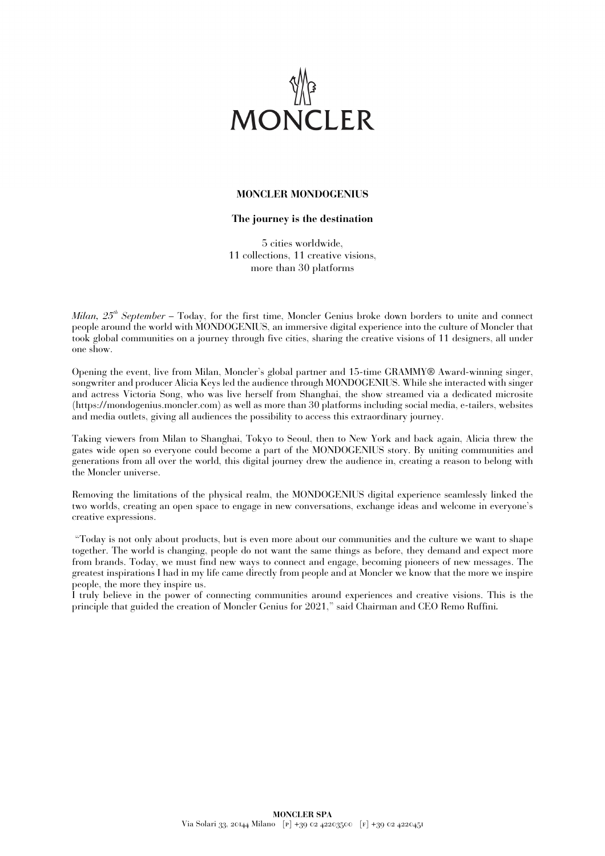

# **MONCLER MONDOGENIUS**

# **The journey is the destination**

5 cities worldwide, 11 collections, 11 creative visions, more than 30 platforms

*Milan,*  $25<sup>th</sup> September$  – Today, for the first time, Moncler Genius broke down borders to unit and connectpeople around the world with MONDOGENIUS, an immersive digital experience into the culture of Moncler that took global communities on a journey through five cities, sharing the creative visions of 11 designers, all under one show.

Opening the event, live from Milan, Moncler's global partner and 15-time GRAMMY® Award-winning singer, songwriter and producer Alicia Keys led the audience through MONDOGENIUS. While she interacted with singer and actress Victoria Song, who was live herself from Shanghai, the show streamed via a dedicated microsite (https://mondogenius.moncler.com) as well as more than 30 platforms including social media, e-tailers, websites and media outlets, giving all audiences the possibility to access this extraordinary journey.

Taking viewers from Milan to Shanghai, Tokyo to Seoul, then to New York and back again, Alicia threw the gates wide open so everyone could become a part of the MONDOGENIUS story. By uniting communities and generations from all over the world, this digital journey drew the audience in, creating a reason to belong with the Moncler universe.

Removing the limitations of the physical realm, the MONDOGENIUS digital experience seamlessly linked the two worlds, creating an open space to engage in new conversations, exchange ideas and welcome in everyone's creative expressions.

"Today is not only about products, but is even more about our communities and the culture we want to shape together. The world is changing, people do not want the same things as before, they demand and expect more from brands. Today, we must find new ways to connect and engage, becoming pioneers of new messages. The greatest inspirations I had in my life came directly from people and at Moncler we know that the more we inspire people, the more they inspire us.

I truly believe in the power of connecting communities around experiences and creative visions. This is the principle that guided the creation of Moncler Genius for 2021," said Chairman and CEO Remo Ruffini*.*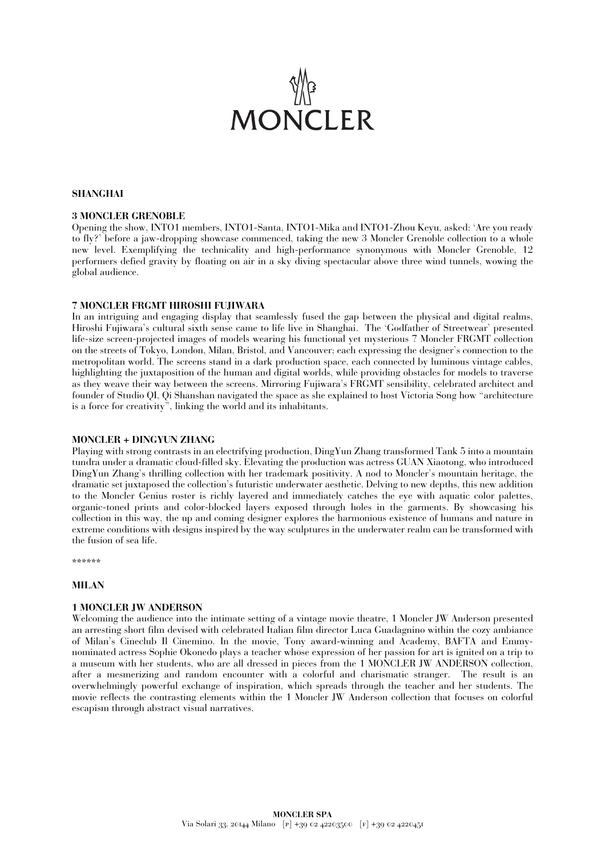

# **SHANGHAI**

#### **3 MONCLER GRENOBLE**

Opening the show, INTO1 members, INTO1-Santa, INTO1-Mika and INTO1-Zhou Keyu, asked: 'Are you ready to fly?' before a jaw-dropping showcase commenced, taking the new 3 Moncler Grenoble collection to a whole new level. Exemplifying the technicality and high-performance synonymous with Moncler Grenoble, 12 performers defied gravity by floating on air in a sky diving spectacular above three wind tunnels, wowing the global audience.

#### **7 MONCLER FRGMT HIROSHI FUJIWARA**

In an intriguing and engaging display that seamlessly fused the gap between the physical and digital realms, Hiroshi Fujiwara's cultural sixth sense came to life live in Shanghai. The 'Godfather of Streetwear' presented life-size screen-projected images of models wearing his functional yet mysterious 7 Moncler FRGMT collection on the streets of Tokyo, London, Milan, Bristol, and Vancouver; each expressing the designer's connection to the metropolitan world. The screens stand in a dark production space, each connected by luminous vintage cables, highlighting the juxtaposition of the human and digital worlds, while providing obstacles for models to traverse as they weave their way between the screens. Mirroring Fujiwara's FRGMT sensibility, celebrated architect and founder of Studio QI, Qi Shanshan navigated the space as she explained to host Victoria Song how "architecture is a force for creativity", linking the world and its inhabitants.

#### **MONCLER + DINGYUN ZHANG**

Playing with strong contrasts in an electrifying production, DingYun Zhang transformed Tank 5 into a mountain tundra under a dramatic cloud-filled sky. Elevating the production was actress GUAN Xiaotong, who introduced DingYun Zhang's thrilling collection with her trademark positivity. A nod to Moncler's mountain heritage, the dramatic set juxtaposed the collection's futuristic underwater aesthetic. Delving to new depths, this new addition to the Moncler Genius roster is richly layered and immediately catches the eye with aquatic color palettes, organic-toned prints and color-blocked layers exposed through holes in the garments. By showcasing his collection in this way, the up and coming designer explores the harmonious existence of humans and nature in extreme conditions with designs inspired by the way sculptures in the underwater realm can be transformed with the fusion of sea life.

\*\*\*\*\*\*

#### **MILAN**

#### **1 MONCLER JW ANDERSON**

Welcoming the audience into the intimate setting of a vintage movie theatre, 1 Moncler JW Anderson presented an arresting short film devised with celebrated Italian film director Luca Guadagnino within the cozy ambiance of Milan's Cineclub Il Cinemino. In the movie, Tony award-winning and Academy, BAFTA and Emmynominated actress Sophie Okonedo plays a teacher whose expression of her passion for art is ignited on a trip to a museum with her students, who are all dressed in pieces from the 1 MONCLER JW ANDERSON collection, after a mesmerizing and random encounter with a colorful and charismatic stranger. The result is an overwhelmingly powerful exchange of inspiration, which spreads through the teacher and her students. The movie reflects the contrasting elements within the 1 Moncler JW Anderson collection that focuses on colorful escapism through abstract visual narratives.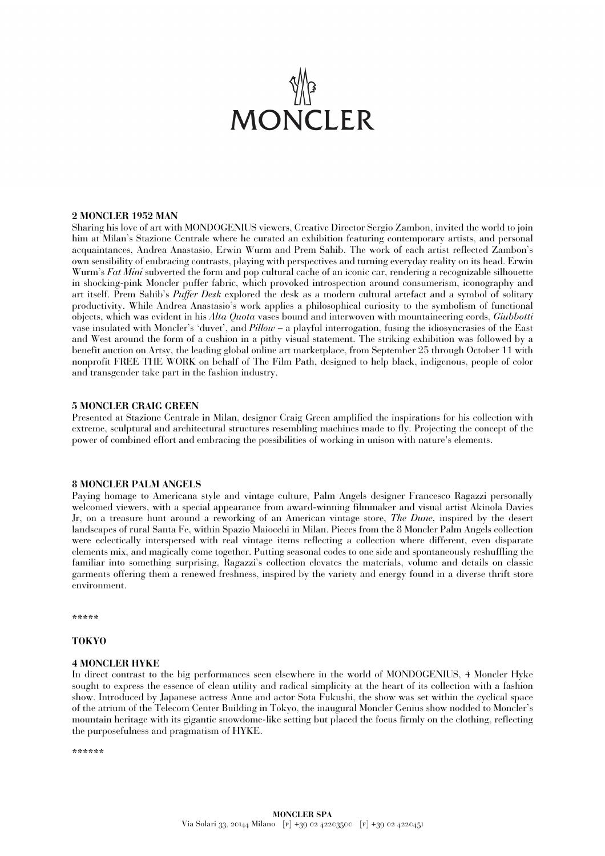# **MONCLER**

#### **2 MONCLER 1952 MAN**

Sharing his love of art with MONDOGENIUS viewers, Creative Director Sergio Zambon, invited the world to join him at Milan's Stazione Centrale where he curated an exhibition featuring contemporary artists, and personal acquaintances, Andrea Anastasio, Erwin Wurm and Prem Sahib. The work of each artist reflected Zambon's own sensibility of embracing contrasts, playing with perspectives and turning everyday reality on its head. Erwin Wurm's *Fat Mini* subverted the form and pop cultural cache of an iconic car, rendering a recognizable silhouette in shocking-pink Moncler puffer fabric, which provoked introspection around consumerism, iconography and art itself. Prem Sahib's *Puffer Desk* explored the desk as a modern cultural artefact and a symbol of solitary productivity. While Andrea Anastasio's work applies a philosophical curiosity to the symbolism of functional objects, which was evident in his *Alta Quota* vases bound and interwoven with mountaineering cords, *Giubbotti* vase insulated with Moncler's 'duvet', and *Pillow* – a playful interrogation, fusing the idiosyncrasies of the East and West around the form of a cushion in a pithy visual statement. The striking exhibition was followed by a benefit auction on Artsy, the leading global online art marketplace, from September 25 through October 11 with nonprofit FREE THE WORK on behalf of The Film Path, designed to help black, indigenous, people of color and transgender take part in the fashion industry.

#### **5 MONCLER CRAIG GREEN**

Presented at Stazione Centrale in Milan, designer Craig Green amplified the inspirations for his collection with extreme, sculptural and architectural structures resembling machines made to fly. Projecting the concept of the power of combined effort and embracing the possibilities of working in unison with nature's elements.

#### **8 MONCLER PALM ANGELS**

Paying homage to Americana style and vintage culture, Palm Angels designer Francesco Ragazzi personally welcomed viewers, with a special appearance from award-winning filmmaker and visual artist Akinola Davies Jr, on a treasure hunt around a reworking of an American vintage store, *The Dune,* inspired by the desert landscapes of rural Santa Fe, within Spazio Maiocchi in Milan. Pieces from the 8 Moncler Palm Angels collection were eclectically interspersed with real vintage items reflecting a collection where different, even disparate elements mix, and magically come together. Putting seasonal codes to one side and spontaneously reshuffling the familiar into something surprising, Ragazzi's collection elevates the materials, volume and details on classic garments offering them a renewed freshness, inspired by the variety and energy found in a diverse thrift store environment.

**\*\*\*\*\***

# **TOKYO**

#### **4 MONCLER HYKE**

In direct contrast to the big performances seen elsewhere in the world of MONDOGENIUS, 4 Moncler Hyke sought to express the essence of clean utility and radical simplicity at the heart of its collection with a fashion show. Introduced by Japanese actress Anne and actor Sota Fukushi, the show was set within the cyclical space of the atrium of the Telecom Center Building in Tokyo, the inaugural Moncler Genius show nodded to Moncler's mountain heritage with its gigantic snowdome-like setting but placed the focus firmly on the clothing, reflecting the purposefulness and pragmatism of HYKE.

**\*\*\*\*\*\***